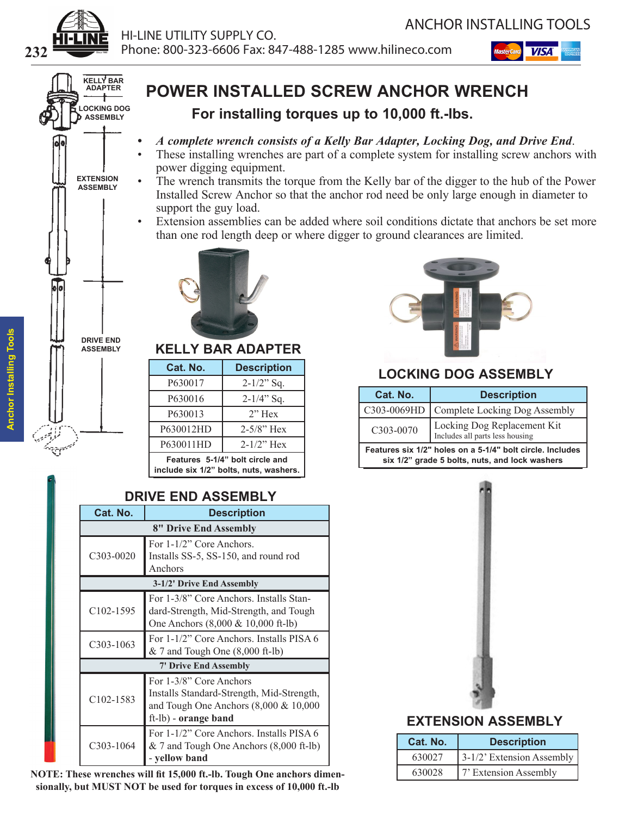





# **POWER INSTALLED SCREW ANCHOR WRENCH**

**For installing torques up to 10,000 ft.-lbs.**

- *• A complete wrench consists of a Kelly Bar Adapter, Locking Dog, and Drive End*.
- These installing wrenches are part of a complete system for installing screw anchors with power digging equipment.
- The wrench transmits the torque from the Kelly bar of the digger to the hub of the Power Installed Screw Anchor so that the anchor rod need be only large enough in diameter to support the guy load.
- Extension assemblies can be added where soil conditions dictate that anchors be set more than one rod length deep or where digger to ground clearances are limited.



| KELLY BAR ADAPTER                                                         |                    |  |  |  |
|---------------------------------------------------------------------------|--------------------|--|--|--|
| Cat. No.                                                                  | <b>Description</b> |  |  |  |
| P630017                                                                   | $2-1/2$ " Sq.      |  |  |  |
| P630016                                                                   | $2-1/4$ " Sq.      |  |  |  |
| P630013                                                                   | $2"$ Hex           |  |  |  |
| P630012HD                                                                 | $2 - 5/8$ " Hex    |  |  |  |
| P630011HD                                                                 | $2 - 1/2$ " Hex    |  |  |  |
| Features 5-1/4" bolt circle and<br>include six 1/2" bolts, nuts, washers. |                    |  |  |  |

### **DRIVE END ASSEMBLY**

| Cat. No.               | <b>Description</b>                                                                                                                        |  |  |  |
|------------------------|-------------------------------------------------------------------------------------------------------------------------------------------|--|--|--|
|                        | 8" Drive End Assembly                                                                                                                     |  |  |  |
| $C303 - 0020$          | For 1-1/2" Core Anchors.<br>Installs SS-5, SS-150, and round rod<br>Anchors                                                               |  |  |  |
|                        | 3-1/2' Drive End Assembly                                                                                                                 |  |  |  |
| $C102 - 1595$          | For 1-3/8" Core Anchors. Installs Stan-<br>dard-Strength, Mid-Strength, and Tough<br>One Anchors (8,000 & 10,000 ft-lb)                   |  |  |  |
| $C_303 - 1063$         | For 1-1/2" Core Anchors. Installs PISA 6<br>$& 7$ and Tough One $(8,000 \text{ ft-lb})$                                                   |  |  |  |
|                        | <b>7' Drive End Assembly</b>                                                                                                              |  |  |  |
| C <sub>102</sub> -1583 | For 1-3/8" Core Anchors<br>Installs Standard-Strength, Mid-Strength,<br>and Tough One Anchors $(8,000 \& 10,000)$<br>ft-lb) - orange band |  |  |  |
| C <sub>3</sub> 03-1064 | For 1-1/2" Core Anchors. Installs PISA 6<br>$& 7$ and Tough One Anchors $(8,000 \text{ ft-lb})$<br>- yellow band                          |  |  |  |

**NOTE: These wrenches will fit 15,000 ft.-lb. Tough One anchors dimensionally, but MUST NOT be used for torques in excess of 10,000 ft.-lb**



### **LOCKING DOG ASSEMBLY**

| Cat. No.                                                                                                    | <b>Description</b>                                             |  |  |
|-------------------------------------------------------------------------------------------------------------|----------------------------------------------------------------|--|--|
| C303-0069HD                                                                                                 | Complete Locking Dog Assembly                                  |  |  |
| C303-0070                                                                                                   | Locking Dog Replacement Kit<br>Includes all parts less housing |  |  |
| Features six 1/2" holes on a 5-1/4" bolt circle. Includes<br>six 1/2" grade 5 bolts, nuts, and lock washers |                                                                |  |  |



### **EXTENSION ASSEMBLY**

| Cat. No. | <b>Description</b>           |
|----------|------------------------------|
| 630027   | $3-1/2$ ' Extension Assembly |
| 630028   | 7' Extension Assembly        |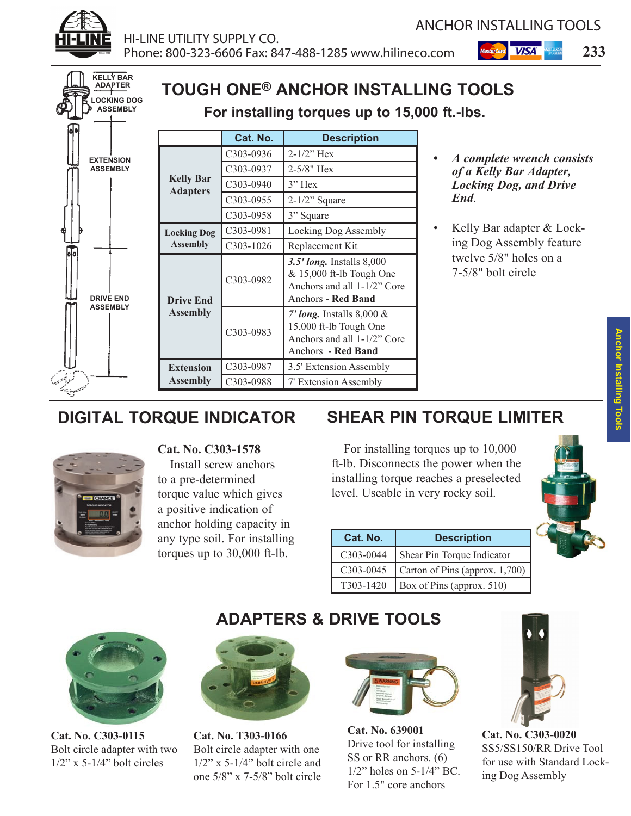



# **DIGITAL TORQUE INDICATOR**



**Cat. No. C303-1578** Install screw anchors to a pre-determined torque value which gives a positive indication of anchor holding capacity in any type soil. For installing torques up to 30,000 ft-lb.

# **SHEAR PIN TORQUE LIMITER**

For installing torques up to 10,000 ft-lb. Disconnects the power when the installing torque reaches a preselected level. Useable in very rocky soil.

| Cat. No.  | <b>Description</b>             |
|-----------|--------------------------------|
| C303-0044 | Shear Pin Torque Indicator     |
| C303-0045 | Carton of Pins (approx. 1,700) |
| T303-1420 | Box of Pins (approx. 510)      |





**Cat. No. C303-0115** Bolt circle adapter with two  $1/2$ " x 5- $1/4$ " bolt circles



**Cat. No. T303-0166** Bolt circle adapter with one 1/2" x 5-1/4" bolt circle and one 5/8" x 7-5/8" bolt circle



**ADAPTERS & DRIVE TOOLS**

**Cat. No. 639001** Drive tool for installing SS or RR anchors. (6) 1/2" holes on 5-1/4" BC. For 1.5" core anchors



**Cat. No. C303-0020** SS5/SS150/RR Drive Tool for use with Standard Locking Dog Assembly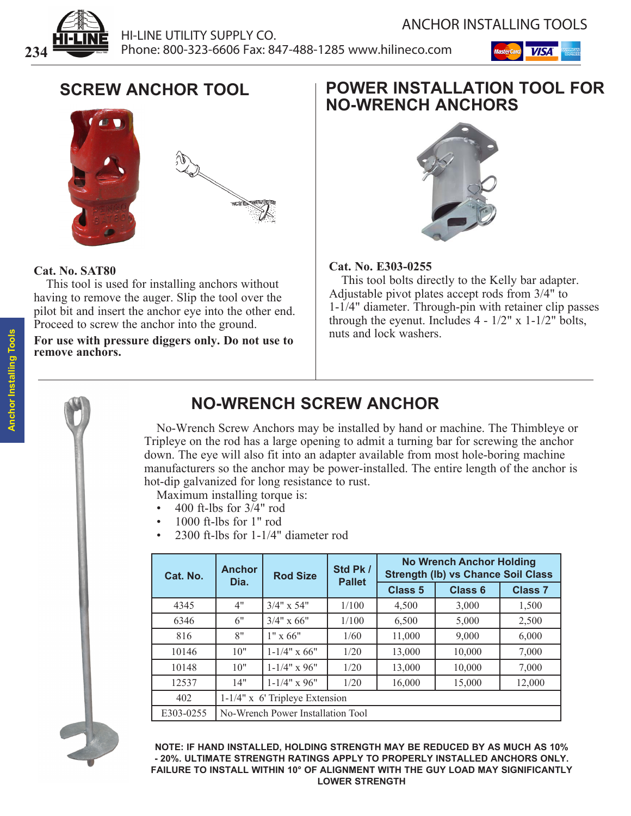



# **SCREW ANCHOR TOOL**



#### **Cat. No. SAT80**

This tool is used for installing anchors without having to remove the auger. Slip the tool over the pilot bit and insert the anchor eye into the other end. Proceed to screw the anchor into the ground.

**For use with pressure diggers only. Do not use to**  remove anchors.

## **POWER INSTALLATION TOOL FOR NO-WRENCH ANCHORS**



### **Cat. No. E303-0255**

This tool bolts directly to the Kelly bar adapter. Adjustable pivot plates accept rods from 3/4" to 1-1/4" diameter. Through-pin with retainer clip passes through the eyenut. Includes  $4 - 1/2$ " x  $1 - 1/2$ " bolts, nuts and lock washers.



# **NO-WRENCH SCREW ANCHOR**

No-Wrench Screw Anchors may be installed by hand or machine. The Thimbleye or Tripleye on the rod has a large opening to admit a turning bar for screwing the anchor down. The eye will also fit into an adapter available from most hole-boring machine manufacturers so the anchor may be power-installed. The entire length of the anchor is hot-dip galvanized for long resistance to rust.

Maximum installing torque is:

- 400 ft-lbs for  $3\overline{4}$ " rod
- 1000 ft-lbs for 1" rod
- 2300 ft-lbs for  $1-1/4$ " diameter rod

| Cat. No.  | <b>Anchor</b><br>Dia.             | <b>Rod Size</b>   | Std Pk /<br><b>Pallet</b> |                | <b>No Wrench Anchor Holding</b><br><b>Strength (Ib) vs Chance Soil Class</b> |                |
|-----------|-----------------------------------|-------------------|---------------------------|----------------|------------------------------------------------------------------------------|----------------|
|           |                                   |                   |                           | <b>Class 5</b> | <b>Class 6</b>                                                               | <b>Class 7</b> |
| 4345      | 4"                                | $3/4" \times 54"$ | 1/100                     | 4,500          | 3,000                                                                        | 1,500          |
| 6346      | 6"                                | $3/4" \times 66"$ | 1/100                     | 6,500          | 5,000                                                                        | 2,500          |
| 816       | 8"                                | $1" \times 66"$   | 1/60                      | 11,000         | 9,000                                                                        | 6,000          |
| 10146     | 10"                               | $1-1/4"$ x 66"    | 1/20                      | 13,000         | 10,000                                                                       | 7,000          |
| 10148     | 10"                               | $1-1/4$ " x 96"   | 1/20                      | 13,000         | 10,000                                                                       | 7,000          |
| 12537     | 14"                               | $1 - 1/4"$ x 96"  | 1/20                      | 16,000         | 15,000                                                                       | 12,000         |
| 402       | $1-1/4$ " x 6' Tripleye Extension |                   |                           |                |                                                                              |                |
| E303-0255 | No-Wrench Power Installation Tool |                   |                           |                |                                                                              |                |

**NOTE: IF HAND INSTALLED, HOLDING STRENGTH MAY BE REDUCED BY AS MUCH AS 10% - 20%. ULTIMATE STRENGTH RATINGS APPLY TO PROPERLY INSTALLED ANCHORS ONLY. FAILURE TO INSTALL WITHIN 10° OF ALIGNMENT WITH THE GUY LOAD MAY SIGNIFICANTLY LOWER STRENGTH**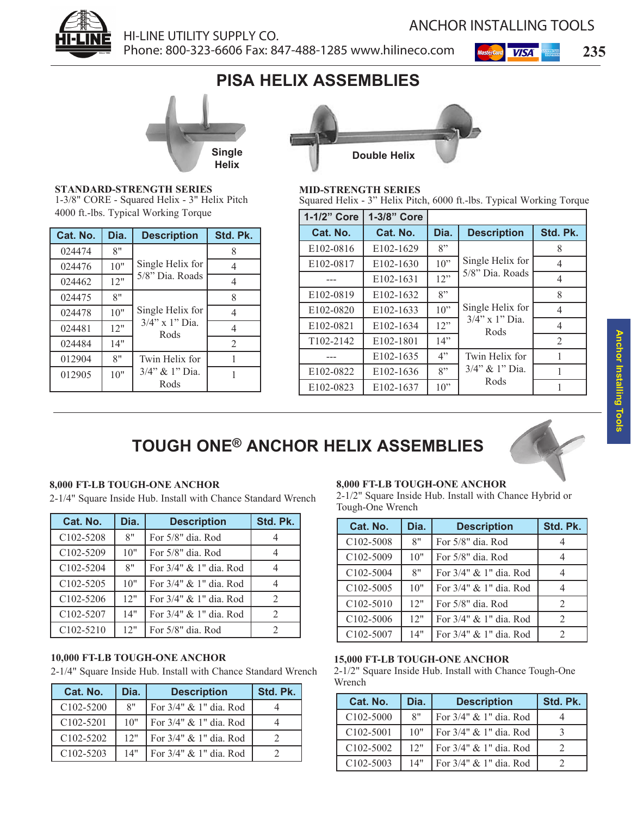

### HI-LINE UTILITY SUPPLY CO. Phone: 800-323-6606 Fax: 847-488-1285 www.hilineco.com **235**

ANCHOR INSTALLING TOOLS

# **PISA HELIX ASSEMBLIES**



**STANDARD-STRENGTH SERIES** 1-3/8" CORE - Squared Helix - 3" Helix Pitch 4000 ft.-lbs. Typical Working Torque

| Cat. No. | Dia. | <b>Description</b>     | Std. Pk.       |
|----------|------|------------------------|----------------|
| 024474   | 8"   |                        |                |
| 024476   | 10"  | Single Helix for       | 4              |
| 024462   | 12"  | 5/8" Dia. Roads        |                |
| 024475   | 8"   |                        | 8              |
| 024478   | 10"  | Single Helix for       | 4              |
| 024481   | 12"  | 3/4" x 1" Dia.<br>Rods | 4              |
| 024484   | 14"  |                        | $\mathfrak{D}$ |
| 012904   | 8"   | Twin Helix for         |                |
| 012905   | 10"  | 3/4" & 1" Dia.<br>Rods |                |



#### **MID-STRENGTH SERIES**

Squared Helix - 3" Helix Pitch, 6000 ft.-lbs. Typical Working Torque

| 1-1/2" Core | 1-3/8" Core            |      |                           |          |
|-------------|------------------------|------|---------------------------|----------|
| Cat. No.    | Cat. No.               | Dia. | <b>Description</b>        | Std. Pk. |
| E102-0816   | E <sub>102</sub> -1629 | 8"   |                           | 8        |
| E102-0817   | E102-1630              | 10"  | Single Helix for          | 4        |
|             | E <sub>102</sub> -1631 | 12"  | 5/8" Dia. Roads           | 4        |
| E102-0819   | E <sub>102</sub> -1632 | 8"   |                           | 8        |
| E102-0820   | E102-1633              | 10"  | Single Helix for          | 4        |
| E102-0821   | E102-1634              | 12"  | $3/4$ " x 1" Dia.<br>Rods | 4        |
| T102-2142   | E102-1801              | 14"  |                           | 2        |
|             | E102-1635              | 4"   | Twin Helix for            |          |
| E102-0822   | E102-1636              | 8"   | 3/4" & 1" Dia.            |          |
| E102-0823   | E102-1637              | 10"  | Rods                      |          |

# **TOUGH ONE® ANCHOR HELIX ASSEMBLIES**



#### **8,000 FT-LB TOUGH-ONE ANCHOR**

2-1/4" Square Inside Hub. Install with Chance Standard Wrench

| Cat. No.               | Dia. | <b>Description</b>        | Std. Pk.                    |
|------------------------|------|---------------------------|-----------------------------|
| C <sub>102</sub> -5208 | 8"   | For 5/8" dia. Rod         |                             |
| C102-5209              | 10"  | For $5/8$ " dia. Rod      |                             |
| C <sub>102</sub> -5204 | 8"   | For $3/4$ " & 1" dia. Rod |                             |
| C <sub>102</sub> -5205 | 10"  | For $3/4$ " & 1" dia. Rod |                             |
| C <sub>102</sub> -5206 | 12"  | For $3/4$ " & 1" dia. Rod | 2                           |
| C102-5207              | 14"  | For 3/4" & 1" dia. Rod    | $\mathcal{D}_{\mathcal{L}}$ |
| $C102 - 5210$          | 12"  | For 5/8" dia. Rod         | 2                           |

#### **10,000 FT-LB TOUGH-ONE ANCHOR**

2-1/4" Square Inside Hub. Install with Chance Standard Wrench

| Cat. No.      | Dia. | <b>Description</b>        | Std. Pk. |
|---------------|------|---------------------------|----------|
| $C102 - 5200$ | 8"   | For 3/4" & 1" dia. Rod    |          |
| $C102 - 5201$ | 10"  | For $3/4$ " & 1" dia. Rod |          |
| $C102 - 5202$ | 12"  | For 3/4" & 1" dia. Rod    |          |
| $C102 - 5203$ | 14"  | For $3/4$ " & 1" dia. Rod |          |

#### **8,000 FT-LB TOUGH-ONE ANCHOR**

2-1/2" Square Inside Hub. Install with Chance Hybrid or Tough-One Wrench

| Cat. No.                           | Dia. | <b>Description</b>        | Std. Pk. |
|------------------------------------|------|---------------------------|----------|
| C <sub>102</sub> -5008             | 8"   | For 5/8" dia. Rod         |          |
| C <sub>102</sub> -5009             | 10"  | For 5/8" dia. Rod         |          |
| C <sub>102</sub> -5004             | 8"   | For $3/4$ " & 1" dia. Rod |          |
| C <sub>102</sub> -5005             | 10"  | For $3/4$ " & 1" dia. Rod |          |
| C <sub>102</sub> -50 <sub>10</sub> | 12"  | For 5/8" dia. Rod         | 2        |
| C <sub>102</sub> -5006             | 12"  | For 3/4" & 1" dia. Rod    |          |
| C <sub>102</sub> -5007             | 14"  | For 3/4" & 1" dia. Rod    |          |

#### **15,000 FT-LB TOUGH-ONE ANCHOR**

2-1/2" Square Inside Hub. Install with Chance Tough-One Wrench

| Cat. No.               | Dia. | <b>Description</b>        | Std. Pk. |
|------------------------|------|---------------------------|----------|
| C <sub>102</sub> -5000 | 8"   | For $3/4$ " & 1" dia. Rod |          |
| C102-5001              | 10"  | For $3/4$ " & 1" dia. Rod |          |
| C <sub>102</sub> -5002 | 12"  | For $3/4$ " & 1" dia. Rod |          |
| C <sub>102</sub> -5003 | 14"  | For $3/4$ " & 1" dia. Rod |          |